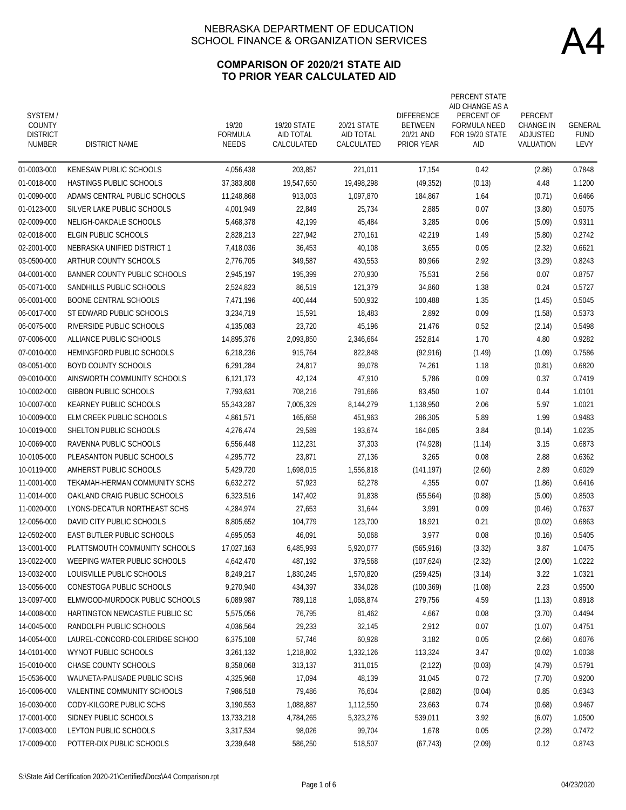### **COMPARISON OF 2020/21 STATE AID TO PRIOR YEAR CALCULATED AID**

| SYSTEM/<br>COUNTY<br><b>DISTRICT</b><br>NUMBER | <b>DISTRICT NAME</b>              | 19/20<br><b>FORMULA</b><br><b>NEEDS</b> | <b>19/20 STATE</b><br>AID TOTAL<br>CALCULATED | 20/21 STATE<br>AID TOTAL<br>CALCULATED | <b>DIFFERENCE</b><br><b>BETWEEN</b><br>20/21 AND<br><b>PRIOR YEAR</b> | PERCENT STATE<br>AID CHANGE AS A<br>PERCENT OF<br><b>FORMULA NEED</b><br>FOR 19/20 STATE<br>aid | PERCENT<br><b>CHANGE IN</b><br>ADJUSTED<br>VALUATION | GENERAL<br><b>FUND</b><br>LEVY |
|------------------------------------------------|-----------------------------------|-----------------------------------------|-----------------------------------------------|----------------------------------------|-----------------------------------------------------------------------|-------------------------------------------------------------------------------------------------|------------------------------------------------------|--------------------------------|
| 01-0003-000                                    | KENESAW PUBLIC SCHOOLS            | 4,056,438                               | 203,857                                       | 221,011                                | 17,154                                                                | 0.42                                                                                            | (2.86)                                               | 0.7848                         |
| 01-0018-000                                    | HASTINGS PUBLIC SCHOOLS           | 37,383,808                              | 19,547,650                                    | 19,498,298                             | (49, 352)                                                             | (0.13)                                                                                          | 4.48                                                 | 1.1200                         |
| 01-0090-000                                    | ADAMS CENTRAL PUBLIC SCHOOLS      | 11,248,868                              | 913,003                                       | 1,097,870                              | 184,867                                                               | 1.64                                                                                            | (0.71)                                               | 0.6466                         |
| 01-0123-000                                    | SILVER LAKE PUBLIC SCHOOLS        | 4,001,949                               | 22,849                                        | 25,734                                 | 2,885                                                                 | 0.07                                                                                            | (3.80)                                               | 0.5075                         |
| 02-0009-000                                    | NELIGH-OAKDALE SCHOOLS            | 5.468.378                               | 42,199                                        | 45,484                                 | 3,285                                                                 | 0.06                                                                                            | (5.09)                                               | 0.9311                         |
| 02-0018-000                                    | ELGIN PUBLIC SCHOOLS              | 2,828,213                               | 227,942                                       | 270,161                                | 42,219                                                                | 1.49                                                                                            | (5.80)                                               | 0.2742                         |
| 02-2001-000                                    | NEBRASKA UNIFIED DISTRICT 1       | 7,418,036                               | 36,453                                        | 40,108                                 | 3,655                                                                 | 0.05                                                                                            | (2.32)                                               | 0.6621                         |
| 03-0500-000                                    | ARTHUR COUNTY SCHOOLS             | 2,776,705                               | 349,587                                       | 430,553                                | 80,966                                                                | 2.92                                                                                            | (3.29)                                               | 0.8243                         |
| 04-0001-000                                    | BANNER COUNTY PUBLIC SCHOOLS      | 2,945,197                               | 195,399                                       | 270,930                                | 75,531                                                                | 2.56                                                                                            | 0.07                                                 | 0.8757                         |
| 05-0071-000                                    | SANDHILLS PUBLIC SCHOOLS          | 2,524,823                               | 86,519                                        | 121,379                                | 34,860                                                                | 1.38                                                                                            | 0.24                                                 | 0.5727                         |
| 06-0001-000                                    | <b>BOONE CENTRAL SCHOOLS</b>      | 7,471,196                               | 400,444                                       | 500,932                                | 100,488                                                               | 1.35                                                                                            | (1.45)                                               | 0.5045                         |
| 06-0017-000                                    | ST EDWARD PUBLIC SCHOOLS          | 3,234,719                               | 15,591                                        | 18,483                                 | 2,892                                                                 | 0.09                                                                                            | (1.58)                                               | 0.5373                         |
| 06-0075-000                                    | RIVERSIDE PUBLIC SCHOOLS          | 4,135,083                               | 23,720                                        | 45,196                                 | 21,476                                                                | 0.52                                                                                            | (2.14)                                               | 0.5498                         |
| 07-0006-000                                    | ALLIANCE PUBLIC SCHOOLS           | 14.895.376                              | 2,093,850                                     | 2,346,664                              | 252,814                                                               | 1.70                                                                                            | 4.80                                                 | 0.9282                         |
| 07-0010-000                                    | HEMINGFORD PUBLIC SCHOOLS         | 6,218,236                               | 915.764                                       | 822,848                                | (92, 916)                                                             | (1.49)                                                                                          | (1.09)                                               | 0.7586                         |
| 08-0051-000                                    | <b>BOYD COUNTY SCHOOLS</b>        | 6,291,284                               | 24,817                                        | 99,078                                 | 74,261                                                                | 1.18                                                                                            | (0.81)                                               | 0.6820                         |
| 09-0010-000                                    | AINSWORTH COMMUNITY SCHOOLS       | 6,121,173                               | 42,124                                        | 47,910                                 | 5,786                                                                 | 0.09                                                                                            | 0.37                                                 | 0.7419                         |
| 10-0002-000                                    | <b>GIBBON PUBLIC SCHOOLS</b>      | 7,793,631                               | 708,216                                       | 791,666                                | 83,450                                                                | 1.07                                                                                            | 0.44                                                 | 1.0101                         |
| 10-0007-000                                    | KEARNEY PUBLIC SCHOOLS            | 55,343,287                              | 7,005,329                                     | 8,144,279                              | 1,138,950                                                             | 2.06                                                                                            | 5.97                                                 | 1.0021                         |
| 10-0009-000                                    | ELM CREEK PUBLIC SCHOOLS          | 4,861,571                               | 165,658                                       | 451,963                                | 286,305                                                               | 5.89                                                                                            | 1.99                                                 | 0.9483                         |
| 10-0019-000                                    | SHELTON PUBLIC SCHOOLS            | 4,276,474                               | 29,589                                        | 193,674                                | 164,085                                                               | 3.84                                                                                            | (0.14)                                               | 1.0235                         |
| 10-0069-000                                    | RAVENNA PUBLIC SCHOOLS            | 6,556,448                               | 112,231                                       | 37,303                                 | (74, 928)                                                             | (1.14)                                                                                          | 3.15                                                 | 0.6873                         |
| 10-0105-000                                    | PLEASANTON PUBLIC SCHOOLS         | 4,295,772                               | 23,871                                        | 27,136                                 | 3,265                                                                 | 0.08                                                                                            | 2.88                                                 | 0.6362                         |
| 10-0119-000                                    | AMHERST PUBLIC SCHOOLS            | 5,429,720                               | 1,698,015                                     | 1,556,818                              | (141, 197)                                                            | (2.60)                                                                                          | 2.89                                                 | 0.6029                         |
| 11-0001-000                                    | TEKAMAH-HERMAN COMMUNITY SCHS     | 6,632,272                               | 57,923                                        | 62,278                                 | 4,355                                                                 | 0.07                                                                                            | (1.86)                                               | 0.6416                         |
| 11-0014-000                                    | OAKLAND CRAIG PUBLIC SCHOOLS      | 6,323,516                               | 147,402                                       | 91,838                                 | (55, 564)                                                             | (0.88)                                                                                          | (5.00)                                               | 0.8503                         |
| 11-0020-000                                    | LYONS-DECATUR NORTHEAST SCHS      | 4,284,974                               | 27,653                                        | 31,644                                 | 3,991                                                                 | 0.09                                                                                            | (0.46)                                               | 0.7637                         |
| 12-0056-000                                    | DAVID CITY PUBLIC SCHOOLS         | 8,805,652                               | 104,779                                       | 123,700                                | 18,921                                                                | 0.21                                                                                            | (0.02)                                               | 0.6863                         |
| 12-0502-000                                    | <b>EAST BUTLER PUBLIC SCHOOLS</b> | 4,695,053                               | 46,091                                        | 50,068                                 | 3,977                                                                 | 0.08                                                                                            | (0.16)                                               | 0.5405                         |
| 13-0001-000                                    | PLATTSMOUTH COMMUNITY SCHOOLS     | 17,027,163                              | 6,485,993                                     | 5,920,077                              | (565, 916)                                                            | (3.32)                                                                                          | 3.87                                                 | 1.0475                         |
| 13-0022-000                                    | WEEPING WATER PUBLIC SCHOOLS      | 4,642,470                               | 487,192                                       | 379,568                                | (107,624)                                                             | (2.32)                                                                                          | (2.00)                                               | 1.0222                         |
| 13-0032-000                                    | LOUISVILLE PUBLIC SCHOOLS         | 8,249,217                               | 1,830,245                                     | 1,570,820                              | (259, 425)                                                            | (3.14)                                                                                          | 3.22                                                 | 1.0321                         |
| 13-0056-000                                    | CONESTOGA PUBLIC SCHOOLS          | 9,270,940                               | 434,397                                       | 334,028                                | (100, 369)                                                            | (1.08)                                                                                          | 2.23                                                 | 0.9500                         |
| 13-0097-000                                    | ELMWOOD-MURDOCK PUBLIC SCHOOLS    | 6,089,987                               | 789,118                                       | 1,068,874                              | 279,756                                                               | 4.59                                                                                            | (1.13)                                               | 0.8918                         |
| 14-0008-000                                    | HARTINGTON NEWCASTLE PUBLIC SC    | 5,575,056                               | 76,795                                        | 81,462                                 | 4,667                                                                 | 0.08                                                                                            | (3.70)                                               | 0.4494                         |
| 14-0045-000                                    | RANDOLPH PUBLIC SCHOOLS           | 4,036,564                               | 29,233                                        | 32,145                                 | 2,912                                                                 | 0.07                                                                                            | (1.07)                                               | 0.4751                         |
| 14-0054-000                                    | LAUREL-CONCORD-COLERIDGE SCHOO    | 6,375,108                               | 57,746                                        | 60,928                                 | 3,182                                                                 | 0.05                                                                                            | (2.66)                                               | 0.6076                         |
| 14-0101-000                                    | WYNOT PUBLIC SCHOOLS              | 3,261,132                               | 1,218,802                                     | 1,332,126                              | 113,324                                                               | 3.47                                                                                            | (0.02)                                               | 1.0038                         |
| 15-0010-000                                    | CHASE COUNTY SCHOOLS              | 8,358,068                               | 313,137                                       | 311,015                                | (2, 122)                                                              | (0.03)                                                                                          | (4.79)                                               | 0.5791                         |
| 15-0536-000                                    | WAUNETA-PALISADE PUBLIC SCHS      | 4,325,968                               | 17,094                                        | 48,139                                 | 31,045                                                                | 0.72                                                                                            | (7.70)                                               | 0.9200                         |
| 16-0006-000                                    | VALENTINE COMMUNITY SCHOOLS       | 7,986,518                               | 79,486                                        | 76,604                                 | (2,882)                                                               | (0.04)                                                                                          | 0.85                                                 | 0.6343                         |
| 16-0030-000                                    | CODY-KILGORE PUBLIC SCHS          | 3,190,553                               | 1,088,887                                     | 1,112,550                              | 23,663                                                                | 0.74                                                                                            | (0.68)                                               | 0.9467                         |
| 17-0001-000                                    | SIDNEY PUBLIC SCHOOLS             | 13,733,218                              | 4,784,265                                     | 5,323,276                              | 539,011                                                               | 3.92                                                                                            | (6.07)                                               | 1.0500                         |
| 17-0003-000                                    | LEYTON PUBLIC SCHOOLS             | 3,317,534                               | 98,026                                        | 99,704                                 | 1,678                                                                 | 0.05                                                                                            | (2.28)                                               | 0.7472                         |
| 17-0009-000                                    | POTTER-DIX PUBLIC SCHOOLS         | 3,239,648                               | 586,250                                       | 518,507                                | (67, 743)                                                             | (2.09)                                                                                          | 0.12                                                 | 0.8743                         |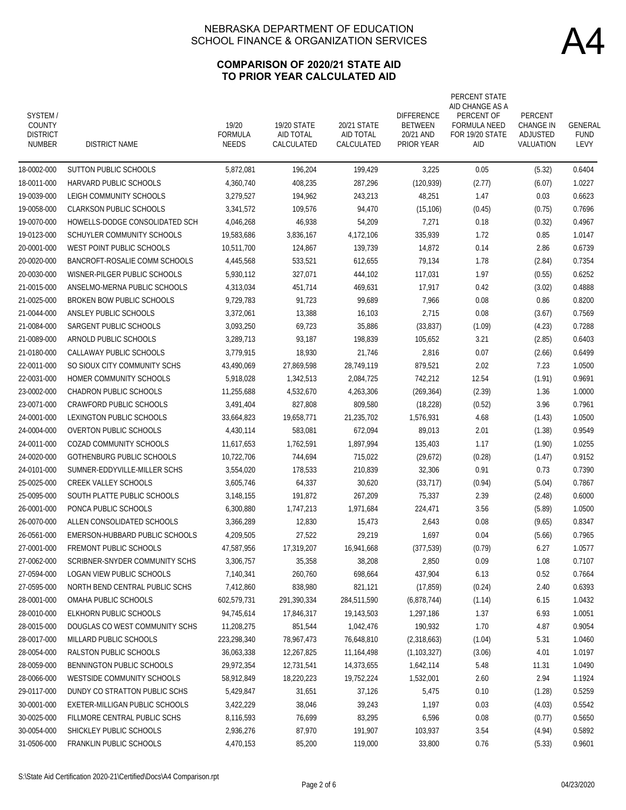### **COMPARISON OF 2020/21 STATE AID TO PRIOR YEAR CALCULATED AID**

| SYSTEM/<br><b>COUNTY</b><br><b>DISTRICT</b><br><b>NUMBER</b> | <b>DISTRICT NAME</b>           | 19/20<br><b>FORMULA</b><br><b>NEEDS</b> | <b>19/20 STATE</b><br>AID TOTAL<br>CALCULATED | 20/21 STATE<br>AID TOTAL<br>CALCULATED | <b>DIFFERENCE</b><br><b>BETWEEN</b><br>20/21 AND<br><b>PRIOR YEAR</b> | PERCENT STATE<br>AID CHANGE AS A<br>PERCENT OF<br><b>FORMULA NEED</b><br>FOR 19/20 STATE<br>AID | PERCENT<br><b>CHANGE IN</b><br>ADJUSTED<br>VALUATION | GENERAL<br><b>FUND</b><br>LEVY |
|--------------------------------------------------------------|--------------------------------|-----------------------------------------|-----------------------------------------------|----------------------------------------|-----------------------------------------------------------------------|-------------------------------------------------------------------------------------------------|------------------------------------------------------|--------------------------------|
| 18-0002-000                                                  | <b>SUTTON PUBLIC SCHOOLS</b>   | 5,872,081                               | 196,204                                       | 199,429                                | 3,225                                                                 | 0.05                                                                                            | (5.32)                                               | 0.6404                         |
| 18-0011-000                                                  | HARVARD PUBLIC SCHOOLS         | 4,360,740                               | 408,235                                       | 287,296                                | (120, 939)                                                            | (2.77)                                                                                          | (6.07)                                               | 1.0227                         |
| 19-0039-000                                                  | LEIGH COMMUNITY SCHOOLS        | 3,279,527                               | 194,962                                       | 243,213                                | 48,251                                                                | 1.47                                                                                            | 0.03                                                 | 0.6623                         |
| 19-0058-000                                                  | <b>CLARKSON PUBLIC SCHOOLS</b> | 3,341,572                               | 109,576                                       | 94,470                                 | (15, 106)                                                             | (0.45)                                                                                          | (0.75)                                               | 0.7696                         |
| 19-0070-000                                                  | HOWELLS-DODGE CONSOLIDATED SCH | 4,046,268                               | 46,938                                        | 54,209                                 | 7,271                                                                 | 0.18                                                                                            | (0.32)                                               | 0.4967                         |
| 19-0123-000                                                  | SCHUYLER COMMUNITY SCHOOLS     | 19,583,686                              | 3,836,167                                     | 4,172,106                              | 335,939                                                               | 1.72                                                                                            | 0.85                                                 | 1.0147                         |
| 20-0001-000                                                  | WEST POINT PUBLIC SCHOOLS      | 10,511,700                              | 124,867                                       | 139,739                                | 14,872                                                                | 0.14                                                                                            | 2.86                                                 | 0.6739                         |
| 20-0020-000                                                  | BANCROFT-ROSALIE COMM SCHOOLS  | 4,445,568                               | 533,521                                       | 612,655                                | 79,134                                                                | 1.78                                                                                            | (2.84)                                               | 0.7354                         |
| 20-0030-000                                                  | WISNER-PILGER PUBLIC SCHOOLS   | 5,930,112                               | 327,071                                       | 444,102                                | 117,031                                                               | 1.97                                                                                            | (0.55)                                               | 0.6252                         |
| 21-0015-000                                                  | ANSELMO-MERNA PUBLIC SCHOOLS   | 4,313,034                               | 451,714                                       | 469,631                                | 17,917                                                                | 0.42                                                                                            | (3.02)                                               | 0.4888                         |
| 21-0025-000                                                  | BROKEN BOW PUBLIC SCHOOLS      | 9,729,783                               | 91,723                                        | 99,689                                 | 7,966                                                                 | 0.08                                                                                            | 0.86                                                 | 0.8200                         |
| 21-0044-000                                                  | ANSLEY PUBLIC SCHOOLS          | 3,372,061                               | 13,388                                        | 16,103                                 | 2,715                                                                 | 0.08                                                                                            | (3.67)                                               | 0.7569                         |
| 21-0084-000                                                  | SARGENT PUBLIC SCHOOLS         | 3,093,250                               | 69,723                                        | 35,886                                 | (33, 837)                                                             | (1.09)                                                                                          | (4.23)                                               | 0.7288                         |
| 21-0089-000                                                  | ARNOLD PUBLIC SCHOOLS          | 3,289,713                               | 93,187                                        | 198,839                                | 105.652                                                               | 3.21                                                                                            | (2.85)                                               | 0.6403                         |
| 21-0180-000                                                  | CALLAWAY PUBLIC SCHOOLS        | 3,779,915                               | 18,930                                        | 21,746                                 | 2,816                                                                 | 0.07                                                                                            | (2.66)                                               | 0.6499                         |
| 22-0011-000                                                  | SO SIOUX CITY COMMUNITY SCHS   | 43,490,069                              | 27,869,598                                    | 28,749,119                             | 879,521                                                               | 2.02                                                                                            | 7.23                                                 | 1.0500                         |
| 22-0031-000                                                  | HOMER COMMUNITY SCHOOLS        | 5,918,028                               | 1,342,513                                     | 2,084,725                              | 742,212                                                               | 12.54                                                                                           | (1.91)                                               | 0.9691                         |
| 23-0002-000                                                  | <b>CHADRON PUBLIC SCHOOLS</b>  | 11,255,688                              | 4,532,670                                     | 4,263,306                              | (269, 364)                                                            | (2.39)                                                                                          | 1.36                                                 | 1.0000                         |
| 23-0071-000                                                  | <b>CRAWFORD PUBLIC SCHOOLS</b> | 3,491,404                               | 827,808                                       | 809,580                                | (18, 228)                                                             | (0.52)                                                                                          | 3.96                                                 | 0.7961                         |
| 24-0001-000                                                  | LEXINGTON PUBLIC SCHOOLS       | 33,664,823                              | 19,658,771                                    | 21,235,702                             | 1,576,931                                                             | 4.68                                                                                            | (1.43)                                               | 1.0500                         |
| 24-0004-000                                                  | <b>OVERTON PUBLIC SCHOOLS</b>  | 4,430,114                               | 583,081                                       | 672,094                                | 89,013                                                                | 2.01                                                                                            | (1.38)                                               | 0.9549                         |
| 24-0011-000                                                  | COZAD COMMUNITY SCHOOLS        | 11,617,653                              | 1,762,591                                     | 1,897,994                              | 135,403                                                               | 1.17                                                                                            | (1.90)                                               | 1.0255                         |
| 24-0020-000                                                  | GOTHENBURG PUBLIC SCHOOLS      | 10,722,706                              | 744,694                                       | 715,022                                | (29,672)                                                              | (0.28)                                                                                          | (1.47)                                               | 0.9152                         |
| 24-0101-000                                                  | SUMNER-EDDYVILLE-MILLER SCHS   | 3,554,020                               | 178,533                                       | 210,839                                | 32,306                                                                | 0.91                                                                                            | 0.73                                                 | 0.7390                         |
| 25-0025-000                                                  | <b>CREEK VALLEY SCHOOLS</b>    | 3,605,746                               | 64,337                                        | 30,620                                 | (33, 717)                                                             | (0.94)                                                                                          | (5.04)                                               | 0.7867                         |
| 25-0095-000                                                  | SOUTH PLATTE PUBLIC SCHOOLS    | 3,148,155                               | 191,872                                       | 267,209                                | 75,337                                                                | 2.39                                                                                            | (2.48)                                               | 0.6000                         |
| 26-0001-000                                                  | PONCA PUBLIC SCHOOLS           | 6,300,880                               | 1,747,213                                     | 1,971,684                              | 224,471                                                               | 3.56                                                                                            | (5.89)                                               | 1.0500                         |
| 26-0070-000                                                  | ALLEN CONSOLIDATED SCHOOLS     | 3,366,289                               | 12,830                                        | 15,473                                 | 2,643                                                                 | 0.08                                                                                            | (9.65)                                               | 0.8347                         |
| 26-0561-000                                                  | EMERSON-HUBBARD PUBLIC SCHOOLS | 4,209,505                               | 27,522                                        | 29,219                                 | 1,697                                                                 | 0.04                                                                                            | (5.66)                                               | 0.7965                         |
| 27-0001-000                                                  | FREMONT PUBLIC SCHOOLS         | 47,587,956                              | 17,319,207                                    | 16,941,668                             | (377, 539)                                                            | (0.79)                                                                                          | 6.27                                                 | 1.0577                         |
| 27-0062-000                                                  | SCRIBNER-SNYDER COMMUNITY SCHS | 3,306,757                               | 35,358                                        | 38,208                                 | 2,850                                                                 | 0.09                                                                                            | 1.08                                                 | 0.7107                         |
| 27-0594-000                                                  | LOGAN VIEW PUBLIC SCHOOLS      | 7,140,341                               | 260,760                                       | 698,664                                | 437,904                                                               | 6.13                                                                                            | 0.52                                                 | 0.7664                         |
| 27-0595-000                                                  | NORTH BEND CENTRAL PUBLIC SCHS | 7,412,860                               | 838,980                                       | 821,121                                | (17, 859)                                                             | (0.24)                                                                                          | 2.40                                                 | 0.6393                         |
| 28-0001-000                                                  | OMAHA PUBLIC SCHOOLS           | 602,579,731                             | 291,390,334                                   | 284,511,590                            | (6,878,744)                                                           | (1.14)                                                                                          | 6.15                                                 | 1.0432                         |
| 28-0010-000                                                  | ELKHORN PUBLIC SCHOOLS         | 94,745,614                              | 17,846,317                                    | 19,143,503                             | 1,297,186                                                             | 1.37                                                                                            | 6.93                                                 | 1.0051                         |
| 28-0015-000                                                  | DOUGLAS CO WEST COMMUNITY SCHS | 11,208,275                              | 851,544                                       | 1,042,476                              | 190,932                                                               | 1.70                                                                                            | 4.87                                                 | 0.9054                         |
| 28-0017-000                                                  | MILLARD PUBLIC SCHOOLS         | 223,298,340                             | 78,967,473                                    | 76,648,810                             | (2,318,663)                                                           | (1.04)                                                                                          | 5.31                                                 | 1.0460                         |
| 28-0054-000                                                  | RALSTON PUBLIC SCHOOLS         | 36,063,338                              | 12,267,825                                    | 11,164,498                             | (1, 103, 327)                                                         | (3.06)                                                                                          | 4.01                                                 | 1.0197                         |
| 28-0059-000                                                  | BENNINGTON PUBLIC SCHOOLS      | 29,972,354                              | 12,731,541                                    | 14,373,655                             | 1,642,114                                                             | 5.48                                                                                            | 11.31                                                | 1.0490                         |
| 28-0066-000                                                  | WESTSIDE COMMUNITY SCHOOLS     | 58,912,849                              | 18,220,223                                    | 19,752,224                             | 1,532,001                                                             | 2.60                                                                                            | 2.94                                                 | 1.1924                         |
| 29-0117-000                                                  | DUNDY CO STRATTON PUBLIC SCHS  | 5,429,847                               | 31,651                                        | 37,126                                 | 5,475                                                                 | 0.10                                                                                            | (1.28)                                               | 0.5259                         |
| 30-0001-000                                                  | EXETER-MILLIGAN PUBLIC SCHOOLS | 3,422,229                               | 38,046                                        | 39,243                                 | 1,197                                                                 | 0.03                                                                                            | (4.03)                                               | 0.5542                         |
| 30-0025-000                                                  | FILLMORE CENTRAL PUBLIC SCHS   | 8,116,593                               | 76,699                                        | 83,295                                 | 6,596                                                                 | 0.08                                                                                            | (0.77)                                               | 0.5650                         |
| 30-0054-000                                                  | SHICKLEY PUBLIC SCHOOLS        | 2,936,276                               | 87,970                                        | 191,907                                | 103,937                                                               | 3.54                                                                                            | (4.94)                                               | 0.5892                         |
| 31-0506-000                                                  | FRANKLIN PUBLIC SCHOOLS        | 4,470,153                               | 85,200                                        | 119,000                                | 33,800                                                                | 0.76                                                                                            | (5.33)                                               | 0.9601                         |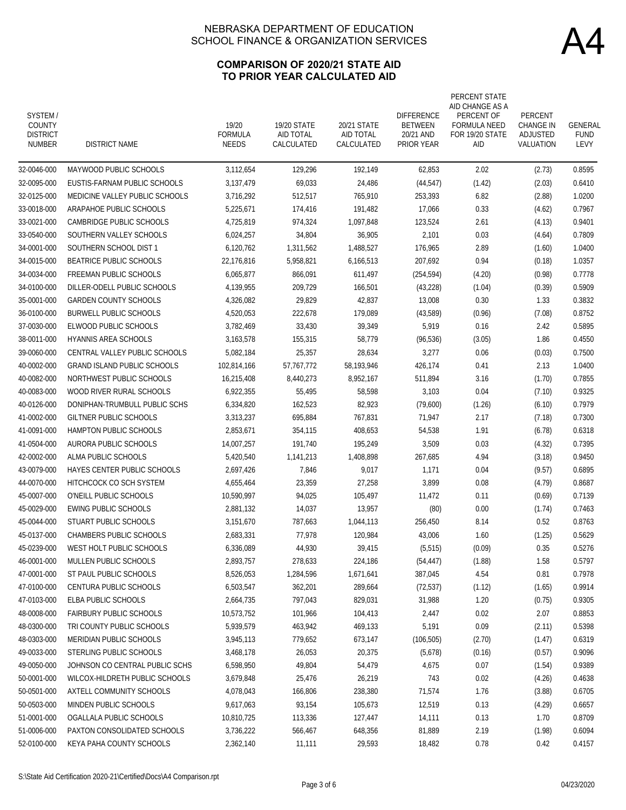### **COMPARISON OF 2020/21 STATE AID TO PRIOR YEAR CALCULATED AID**

| SYSTEM/<br><b>COUNTY</b><br><b>DISTRICT</b><br><b>NUMBER</b> | <b>DISTRICT NAME</b>               | 19/20<br><b>FORMULA</b><br><b>NEEDS</b> | 19/20 STATE<br>AID TOTAL<br>CALCULATED | 20/21 STATE<br>AID TOTAL<br>CALCULATED | <b>DIFFERENCE</b><br><b>BETWEEN</b><br>20/21 AND<br><b>PRIOR YEAR</b> | PERCENT STATE<br>AID CHANGE AS A<br>PERCENT OF<br><b>FORMULA NEED</b><br>FOR 19/20 STATE<br>AID | PERCENT<br><b>CHANGE IN</b><br>ADJUSTED<br>VALUATION | GENERAL<br><b>FUND</b><br>LEVY |
|--------------------------------------------------------------|------------------------------------|-----------------------------------------|----------------------------------------|----------------------------------------|-----------------------------------------------------------------------|-------------------------------------------------------------------------------------------------|------------------------------------------------------|--------------------------------|
| 32-0046-000                                                  | MAYWOOD PUBLIC SCHOOLS             | 3,112,654                               | 129,296                                | 192,149                                | 62,853                                                                | 2.02                                                                                            | (2.73)                                               | 0.8595                         |
| 32-0095-000                                                  | EUSTIS-FARNAM PUBLIC SCHOOLS       | 3,137,479                               | 69,033                                 | 24,486                                 | (44, 547)                                                             | (1.42)                                                                                          | (2.03)                                               | 0.6410                         |
| 32-0125-000                                                  | MEDICINE VALLEY PUBLIC SCHOOLS     | 3,716,292                               | 512,517                                | 765,910                                | 253,393                                                               | 6.82                                                                                            | (2.88)                                               | 1.0200                         |
| 33-0018-000                                                  | ARAPAHOE PUBLIC SCHOOLS            | 5,225,671                               | 174,416                                | 191,482                                | 17,066                                                                | 0.33                                                                                            | (4.62)                                               | 0.7967                         |
| 33-0021-000                                                  | CAMBRIDGE PUBLIC SCHOOLS           | 4,725,819                               | 974,324                                | 1,097,848                              | 123.524                                                               | 2.61                                                                                            | (4.13)                                               | 0.9401                         |
| 33-0540-000                                                  | SOUTHERN VALLEY SCHOOLS            | 6,024,257                               | 34,804                                 | 36,905                                 | 2,101                                                                 | 0.03                                                                                            | (4.64)                                               | 0.7809                         |
| 34-0001-000                                                  | SOUTHERN SCHOOL DIST 1             | 6,120,762                               | 1,311,562                              | 1,488,527                              | 176,965                                                               | 2.89                                                                                            | (1.60)                                               | 1.0400                         |
| 34-0015-000                                                  | BEATRICE PUBLIC SCHOOLS            | 22,176,816                              | 5,958,821                              | 6,166,513                              | 207,692                                                               | 0.94                                                                                            | (0.18)                                               | 1.0357                         |
| 34-0034-000                                                  | FREEMAN PUBLIC SCHOOLS             | 6,065,877                               | 866,091                                | 611,497                                | (254, 594)                                                            | (4.20)                                                                                          | (0.98)                                               | 0.7778                         |
| 34-0100-000                                                  | DILLER-ODELL PUBLIC SCHOOLS        | 4,139,955                               | 209,729                                | 166,501                                | (43, 228)                                                             | (1.04)                                                                                          | (0.39)                                               | 0.5909                         |
| 35-0001-000                                                  | <b>GARDEN COUNTY SCHOOLS</b>       | 4,326,082                               | 29,829                                 | 42,837                                 | 13,008                                                                | 0.30                                                                                            | 1.33                                                 | 0.3832                         |
| 36-0100-000                                                  | <b>BURWELL PUBLIC SCHOOLS</b>      | 4,520,053                               | 222,678                                | 179,089                                | (43, 589)                                                             | (0.96)                                                                                          | (7.08)                                               | 0.8752                         |
| 37-0030-000                                                  | ELWOOD PUBLIC SCHOOLS              | 3,782,469                               | 33,430                                 | 39,349                                 | 5,919                                                                 | 0.16                                                                                            | 2.42                                                 | 0.5895                         |
| 38-0011-000                                                  | <b>HYANNIS AREA SCHOOLS</b>        | 3,163,578                               | 155,315                                | 58,779                                 | (96, 536)                                                             | (3.05)                                                                                          | 1.86                                                 | 0.4550                         |
| 39-0060-000                                                  | CENTRAL VALLEY PUBLIC SCHOOLS      | 5,082,184                               | 25,357                                 | 28,634                                 | 3,277                                                                 | 0.06                                                                                            | (0.03)                                               | 0.7500                         |
| 40-0002-000                                                  | <b>GRAND ISLAND PUBLIC SCHOOLS</b> | 102,814,166                             | 57,767,772                             | 58,193,946                             | 426,174                                                               | 0.41                                                                                            | 2.13                                                 | 1.0400                         |
| 40-0082-000                                                  | NORTHWEST PUBLIC SCHOOLS           | 16,215,408                              | 8,440,273                              | 8,952,167                              | 511,894                                                               | 3.16                                                                                            | (1.70)                                               | 0.7855                         |
| 40-0083-000                                                  | WOOD RIVER RURAL SCHOOLS           | 6,922,355                               | 55,495                                 | 58,598                                 | 3,103                                                                 | 0.04                                                                                            | (7.10)                                               | 0.9325                         |
| 40-0126-000                                                  | DONIPHAN-TRUMBULL PUBLIC SCHS      | 6,334,820                               | 162,523                                | 82,923                                 | (79,600)                                                              | (1.26)                                                                                          | (6.10)                                               | 0.7979                         |
| 41-0002-000                                                  | GILTNER PUBLIC SCHOOLS             | 3,313,237                               | 695,884                                | 767,831                                | 71,947                                                                | 2.17                                                                                            | (7.18)                                               | 0.7300                         |
| 41-0091-000                                                  | HAMPTON PUBLIC SCHOOLS             | 2,853,671                               | 354,115                                | 408,653                                | 54,538                                                                | 1.91                                                                                            | (6.78)                                               | 0.6318                         |
| 41-0504-000                                                  | AURORA PUBLIC SCHOOLS              | 14,007,257                              | 191,740                                | 195,249                                | 3,509                                                                 | 0.03                                                                                            | (4.32)                                               | 0.7395                         |
| 42-0002-000                                                  | ALMA PUBLIC SCHOOLS                | 5,420,540                               | 1,141,213                              | 1,408,898                              | 267,685                                                               | 4.94                                                                                            | (3.18)                                               | 0.9450                         |
| 43-0079-000                                                  | HAYES CENTER PUBLIC SCHOOLS        | 2,697,426                               | 7,846                                  | 9,017                                  | 1,171                                                                 | 0.04                                                                                            | (9.57)                                               | 0.6895                         |
| 44-0070-000                                                  | HITCHCOCK CO SCH SYSTEM            | 4,655,464                               | 23,359                                 | 27,258                                 | 3,899                                                                 | 0.08                                                                                            | (4.79)                                               | 0.8687                         |
| 45-0007-000                                                  | O'NEILL PUBLIC SCHOOLS             | 10,590,997                              | 94,025                                 | 105,497                                | 11,472                                                                | 0.11                                                                                            | (0.69)                                               | 0.7139                         |
| 45-0029-000                                                  | <b>EWING PUBLIC SCHOOLS</b>        | 2,881,132                               | 14,037                                 | 13,957                                 | (80)                                                                  | 0.00                                                                                            | (1.74)                                               | 0.7463                         |
| 45-0044-000                                                  | STUART PUBLIC SCHOOLS              | 3,151,670                               | 787,663                                | 1,044,113                              | 256,450                                                               | 8.14                                                                                            | 0.52                                                 | 0.8763                         |
| 45-0137-000                                                  | CHAMBERS PUBLIC SCHOOLS            | 2,683,331                               | 77,978                                 | 120,984                                | 43,006                                                                | 1.60                                                                                            | (1.25)                                               | 0.5629                         |
| 45-0239-000                                                  | WEST HOLT PUBLIC SCHOOLS           | 6,336,089                               | 44,930                                 | 39,415                                 | (5, 515)                                                              | (0.09)                                                                                          | 0.35                                                 | 0.5276                         |
| 46-0001-000                                                  | MULLEN PUBLIC SCHOOLS              | 2,893,757                               | 278,633                                | 224,186                                | (54, 447)                                                             | (1.88)                                                                                          | 1.58                                                 | 0.5797                         |
| 47-0001-000                                                  | ST PAUL PUBLIC SCHOOLS             | 8,526,053                               | 1,284,596                              | 1,671,641                              | 387,045                                                               | 4.54                                                                                            | 0.81                                                 | 0.7978                         |
| 47-0100-000                                                  | CENTURA PUBLIC SCHOOLS             | 6,503,547                               | 362,201                                | 289,664                                | (72, 537)                                                             | (1.12)                                                                                          | (1.65)                                               | 0.9914                         |
| 47-0103-000                                                  | ELBA PUBLIC SCHOOLS                | 2,664,735                               | 797,043                                | 829,031                                | 31,988                                                                | 1.20                                                                                            | (0.75)                                               | 0.9305                         |
| 48-0008-000                                                  | <b>FAIRBURY PUBLIC SCHOOLS</b>     | 10,573,752                              | 101,966                                | 104,413                                | 2,447                                                                 | 0.02                                                                                            | 2.07                                                 | 0.8853                         |
| 48-0300-000                                                  | TRI COUNTY PUBLIC SCHOOLS          | 5,939,579                               | 463,942                                | 469,133                                | 5,191                                                                 | 0.09                                                                                            | (2.11)                                               | 0.5398                         |
| 48-0303-000                                                  | MERIDIAN PUBLIC SCHOOLS            | 3,945,113                               | 779,652                                | 673,147                                | (106, 505)                                                            | (2.70)                                                                                          | (1.47)                                               | 0.6319                         |
| 49-0033-000                                                  | STERLING PUBLIC SCHOOLS            | 3,468,178                               | 26,053                                 | 20,375                                 | (5,678)                                                               | (0.16)                                                                                          | (0.57)                                               | 0.9096                         |
| 49-0050-000                                                  | JOHNSON CO CENTRAL PUBLIC SCHS     | 6,598,950                               | 49,804                                 | 54,479                                 | 4,675                                                                 | 0.07                                                                                            | (1.54)                                               | 0.9389                         |
| 50-0001-000                                                  | WILCOX-HILDRETH PUBLIC SCHOOLS     | 3,679,848                               | 25,476                                 | 26,219                                 | 743                                                                   | 0.02                                                                                            | (4.26)                                               | 0.4638                         |
| 50-0501-000                                                  | AXTELL COMMUNITY SCHOOLS           | 4,078,043                               | 166,806                                | 238,380                                | 71,574                                                                | 1.76                                                                                            | (3.88)                                               | 0.6705                         |
| 50-0503-000                                                  | MINDEN PUBLIC SCHOOLS              | 9,617,063                               | 93,154                                 | 105,673                                | 12,519                                                                | 0.13                                                                                            | (4.29)                                               | 0.6657                         |
| 51-0001-000                                                  | OGALLALA PUBLIC SCHOOLS            | 10,810,725                              | 113,336                                | 127,447                                | 14,111                                                                | 0.13                                                                                            | 1.70                                                 | 0.8709                         |
| 51-0006-000                                                  | PAXTON CONSOLIDATED SCHOOLS        | 3,736,222                               | 566,467                                | 648,356                                | 81,889                                                                | 2.19                                                                                            | (1.98)                                               | 0.6094                         |
| 52-0100-000                                                  | KEYA PAHA COUNTY SCHOOLS           | 2,362,140                               | 11,111                                 | 29,593                                 | 18,482                                                                | 0.78                                                                                            | 0.42                                                 | 0.4157                         |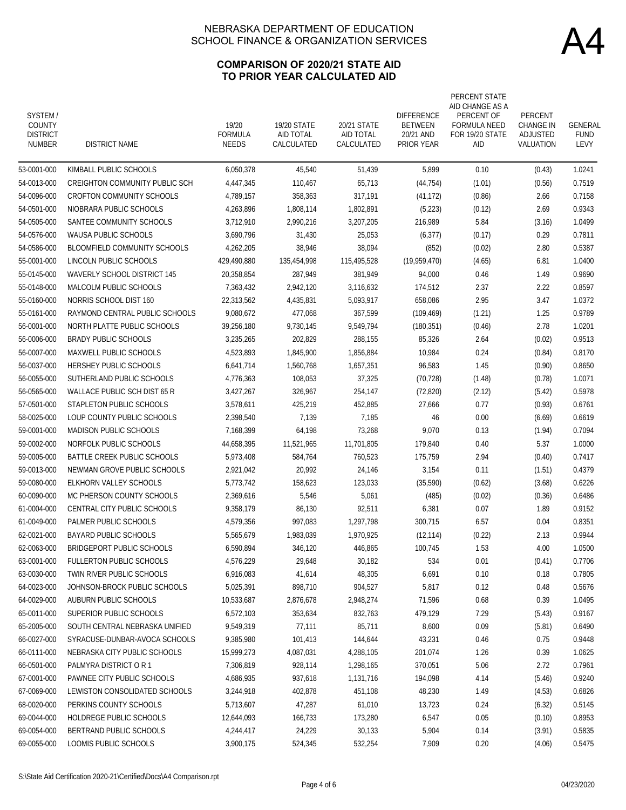### **COMPARISON OF 2020/21 STATE AID TO PRIOR YEAR CALCULATED AID**

| SYSTEM/<br><b>COUNTY</b><br><b>DISTRICT</b><br><b>NUMBER</b> | <b>DISTRICT NAME</b>                  | 19/20<br><b>FORMULA</b><br><b>NEEDS</b> | 19/20 STATE<br>AID TOTAL<br>CALCULATED | 20/21 STATE<br>AID TOTAL<br>CALCULATED | <b>DIFFERENCE</b><br><b>BETWEEN</b><br>20/21 AND<br><b>PRIOR YEAR</b> | PERCENT STATE<br>AID CHANGE AS A<br>PERCENT OF<br><b>FORMULA NEED</b><br>FOR 19/20 STATE<br>aid | PERCENT<br><b>CHANGE IN</b><br>ADJUSTED<br>VALUATION | GENERAL<br><b>FUND</b><br>LEVY |
|--------------------------------------------------------------|---------------------------------------|-----------------------------------------|----------------------------------------|----------------------------------------|-----------------------------------------------------------------------|-------------------------------------------------------------------------------------------------|------------------------------------------------------|--------------------------------|
| 53-0001-000                                                  | KIMBALL PUBLIC SCHOOLS                | 6,050,378                               | 45,540                                 | 51,439                                 | 5,899                                                                 | 0.10                                                                                            | (0.43)                                               | 1.0241                         |
| 54-0013-000                                                  | <b>CREIGHTON COMMUNITY PUBLIC SCH</b> | 4,447,345                               | 110,467                                | 65,713                                 | (44, 754)                                                             | (1.01)                                                                                          | (0.56)                                               | 0.7519                         |
| 54-0096-000                                                  | <b>CROFTON COMMUNITY SCHOOLS</b>      | 4,789,157                               | 358,363                                | 317.191                                | (41, 172)                                                             | (0.86)                                                                                          | 2.66                                                 | 0.7158                         |
| 54-0501-000                                                  | NIOBRARA PUBLIC SCHOOLS               | 4,263,896                               | 1,808,114                              | 1,802,891                              | (5,223)                                                               | (0.12)                                                                                          | 2.69                                                 | 0.9343                         |
| 54-0505-000                                                  | SANTEE COMMUNITY SCHOOLS              | 3,712,910                               | 2,990,216                              | 3,207,205                              | 216,989                                                               | 5.84                                                                                            | (3.16)                                               | 1.0499                         |
| 54-0576-000                                                  | <b>WAUSA PUBLIC SCHOOLS</b>           | 3,690,796                               | 31,430                                 | 25,053                                 | (6, 377)                                                              | (0.17)                                                                                          | 0.29                                                 | 0.7811                         |
| 54-0586-000                                                  | BLOOMFIELD COMMUNITY SCHOOLS          | 4,262,205                               | 38,946                                 | 38,094                                 | (852)                                                                 | (0.02)                                                                                          | 2.80                                                 | 0.5387                         |
| 55-0001-000                                                  | LINCOLN PUBLIC SCHOOLS                | 429,490,880                             | 135,454,998                            | 115,495,528                            | (19, 959, 470)                                                        | (4.65)                                                                                          | 6.81                                                 | 1.0400                         |
| 55-0145-000                                                  | <b>WAVERLY SCHOOL DISTRICT 145</b>    | 20,358,854                              | 287,949                                | 381,949                                | 94,000                                                                | 0.46                                                                                            | 1.49                                                 | 0.9690                         |
| 55-0148-000                                                  | MALCOLM PUBLIC SCHOOLS                | 7,363,432                               | 2,942,120                              | 3,116,632                              | 174,512                                                               | 2.37                                                                                            | 2.22                                                 | 0.8597                         |
| 55-0160-000                                                  | NORRIS SCHOOL DIST 160                | 22,313,562                              | 4,435,831                              | 5,093,917                              | 658,086                                                               | 2.95                                                                                            | 3.47                                                 | 1.0372                         |
| 55-0161-000                                                  | RAYMOND CENTRAL PUBLIC SCHOOLS        | 9,080,672                               | 477,068                                | 367,599                                | (109, 469)                                                            | (1.21)                                                                                          | 1.25                                                 | 0.9789                         |
| 56-0001-000                                                  | NORTH PLATTE PUBLIC SCHOOLS           | 39,256,180                              | 9,730,145                              | 9.549.794                              | (180, 351)                                                            | (0.46)                                                                                          | 2.78                                                 | 1.0201                         |
| 56-0006-000                                                  | <b>BRADY PUBLIC SCHOOLS</b>           | 3.235.265                               | 202.829                                | 288.155                                | 85,326                                                                | 2.64                                                                                            | (0.02)                                               | 0.9513                         |
| 56-0007-000                                                  | MAXWELL PUBLIC SCHOOLS                | 4,523,893                               | 1,845,900                              | 1,856,884                              | 10,984                                                                | 0.24                                                                                            | (0.84)                                               | 0.8170                         |
| 56-0037-000                                                  | <b>HERSHEY PUBLIC SCHOOLS</b>         | 6,641,714                               | 1,560,768                              | 1,657,351                              | 96,583                                                                | 1.45                                                                                            | (0.90)                                               | 0.8650                         |
| 56-0055-000                                                  | SUTHERLAND PUBLIC SCHOOLS             | 4,776,363                               | 108,053                                | 37,325                                 | (70, 728)                                                             | (1.48)                                                                                          | (0.78)                                               | 1.0071                         |
| 56-0565-000                                                  | WALLACE PUBLIC SCH DIST 65 R          | 3,427,267                               | 326,967                                | 254,147                                | (72, 820)                                                             | (2.12)                                                                                          | (5.42)                                               | 0.5978                         |
| 57-0501-000                                                  | STAPLETON PUBLIC SCHOOLS              | 3,578,611                               | 425,219                                | 452,885                                | 27,666                                                                | 0.77                                                                                            | (0.93)                                               | 0.6761                         |
| 58-0025-000                                                  | LOUP COUNTY PUBLIC SCHOOLS            | 2,398,540                               | 7,139                                  | 7,185                                  | 46                                                                    | 0.00                                                                                            | (6.69)                                               | 0.6619                         |
| 59-0001-000                                                  | <b>MADISON PUBLIC SCHOOLS</b>         | 7,168,399                               | 64,198                                 | 73,268                                 | 9,070                                                                 | 0.13                                                                                            | (1.94)                                               | 0.7094                         |
| 59-0002-000                                                  | NORFOLK PUBLIC SCHOOLS                | 44,658,395                              | 11,521,965                             | 11,701,805                             | 179,840                                                               | 0.40                                                                                            | 5.37                                                 | 1.0000                         |
| 59-0005-000                                                  | BATTLE CREEK PUBLIC SCHOOLS           | 5,973,408                               | 584,764                                | 760,523                                | 175,759                                                               | 2.94                                                                                            | (0.40)                                               | 0.7417                         |
| 59-0013-000                                                  | NEWMAN GROVE PUBLIC SCHOOLS           | 2,921,042                               | 20,992                                 | 24,146                                 | 3,154                                                                 | 0.11                                                                                            | (1.51)                                               | 0.4379                         |
| 59-0080-000                                                  | ELKHORN VALLEY SCHOOLS                | 5,773,742                               | 158,623                                | 123,033                                | (35,590)                                                              | (0.62)                                                                                          | (3.68)                                               | 0.6226                         |
| 60-0090-000                                                  | MC PHERSON COUNTY SCHOOLS             | 2,369,616                               | 5,546                                  | 5,061                                  | (485)                                                                 | (0.02)                                                                                          | (0.36)                                               | 0.6486                         |
| 61-0004-000                                                  | CENTRAL CITY PUBLIC SCHOOLS           | 9.358.179                               | 86,130                                 | 92,511                                 | 6,381                                                                 | 0.07                                                                                            | 1.89                                                 | 0.9152                         |
| 61-0049-000                                                  | PALMER PUBLIC SCHOOLS                 | 4,579,356                               | 997,083                                | 1,297,798                              | 300,715                                                               | 6.57                                                                                            | 0.04                                                 | 0.8351                         |
| 62-0021-000                                                  | <b>BAYARD PUBLIC SCHOOLS</b>          | 5,565,679                               | 1,983,039                              | 1,970,925                              | (12, 114)                                                             | (0.22)                                                                                          | 2.13                                                 | 0.9944                         |
| 62-0063-000                                                  | BRIDGEPORT PUBLIC SCHOOLS             | 6,590,894                               | 346,120                                | 446,865                                | 100,745                                                               | 1.53                                                                                            | 4.00                                                 | 1.0500                         |
| 63-0001-000                                                  | FULLERTON PUBLIC SCHOOLS              | 4,576,229                               | 29,648                                 | 30,182                                 | 534                                                                   | 0.01                                                                                            | (0.41)                                               | 0.7706                         |
| 63-0030-000                                                  | TWIN RIVER PUBLIC SCHOOLS             | 6,916,083                               | 41,614                                 | 48,305                                 | 6,691                                                                 | 0.10                                                                                            | 0.18                                                 | 0.7805                         |
| 64-0023-000                                                  | JOHNSON-BROCK PUBLIC SCHOOLS          | 5,025,391                               | 898,710                                | 904,527                                | 5,817                                                                 | 0.12                                                                                            | 0.48                                                 | 0.5676                         |
| 64-0029-000                                                  | AUBURN PUBLIC SCHOOLS                 | 10,533,687                              | 2,876,678                              | 2,948,274                              | 71,596                                                                | 0.68                                                                                            | 0.39                                                 | 1.0495                         |
| 65-0011-000                                                  | SUPERIOR PUBLIC SCHOOLS               | 6,572,103                               | 353,634                                | 832,763                                | 479,129                                                               | 7.29                                                                                            | (5.43)                                               | 0.9167                         |
| 65-2005-000                                                  | SOUTH CENTRAL NEBRASKA UNIFIED        | 9,549,319                               | 77,111                                 | 85,711                                 | 8,600                                                                 | 0.09                                                                                            | (5.81)                                               | 0.6490                         |
| 66-0027-000                                                  | SYRACUSE-DUNBAR-AVOCA SCHOOLS         | 9,385,980                               | 101,413                                | 144,644                                | 43,231                                                                | 0.46                                                                                            | 0.75                                                 | 0.9448                         |
| 66-0111-000                                                  | NEBRASKA CITY PUBLIC SCHOOLS          | 15,999,273                              | 4,087,031                              | 4,288,105                              | 201,074                                                               | 1.26                                                                                            | 0.39                                                 | 1.0625                         |
| 66-0501-000                                                  | PALMYRA DISTRICT O R 1                | 7,306,819                               | 928,114                                | 1,298,165                              | 370,051                                                               | 5.06                                                                                            | 2.72                                                 | 0.7961                         |
| 67-0001-000                                                  | PAWNEE CITY PUBLIC SCHOOLS            | 4,686,935                               | 937,618                                | 1,131,716                              | 194,098                                                               | 4.14                                                                                            | (5.46)                                               | 0.9240                         |
| 67-0069-000                                                  | LEWISTON CONSOLIDATED SCHOOLS         | 3,244,918                               | 402,878                                | 451,108                                | 48,230                                                                | 1.49                                                                                            | (4.53)                                               | 0.6826                         |
| 68-0020-000                                                  | PERKINS COUNTY SCHOOLS                | 5,713,607                               | 47,287                                 | 61,010                                 | 13,723                                                                | 0.24                                                                                            | (6.32)                                               | 0.5145                         |
| 69-0044-000                                                  | HOLDREGE PUBLIC SCHOOLS               | 12,644,093                              | 166,733                                | 173,280                                | 6,547                                                                 | 0.05                                                                                            | (0.10)                                               | 0.8953                         |
| 69-0054-000                                                  | BERTRAND PUBLIC SCHOOLS               | 4,244,417                               | 24,229                                 | 30,133                                 | 5,904                                                                 | 0.14                                                                                            | (3.91)                                               | 0.5835                         |
| 69-0055-000                                                  | LOOMIS PUBLIC SCHOOLS                 | 3,900,175                               | 524,345                                | 532,254                                | 7,909                                                                 | 0.20                                                                                            | (4.06)                                               | 0.5475                         |
|                                                              |                                       |                                         |                                        |                                        |                                                                       |                                                                                                 |                                                      |                                |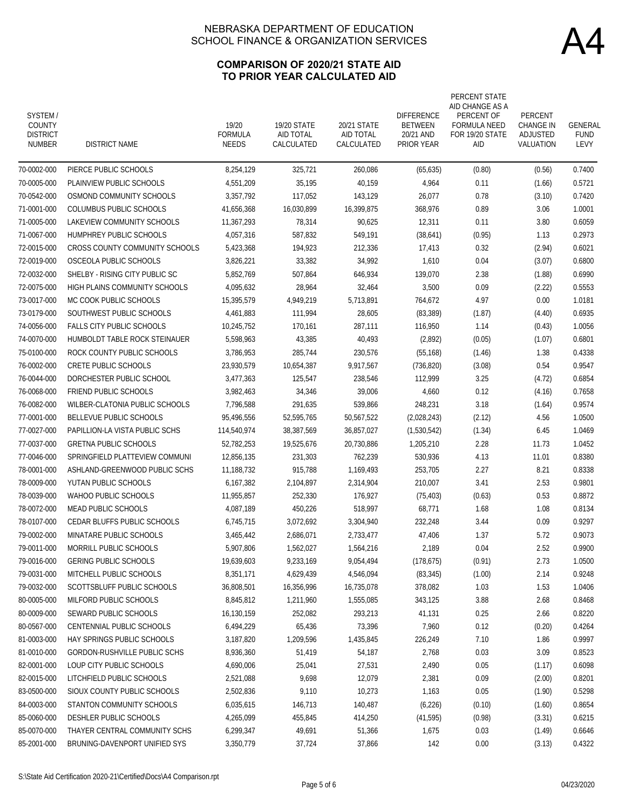### **COMPARISON OF 2020/21 STATE AID TO PRIOR YEAR CALCULATED AID**

| SYSTEM/<br><b>COUNTY</b><br><b>DISTRICT</b><br><b>NUMBER</b> | <b>DISTRICT NAME</b>               | 19/20<br><b>FORMULA</b><br><b>NEEDS</b> | 19/20 STATE<br>AID TOTAL<br>CALCULATED | 20/21 STATE<br>AID TOTAL<br>CALCULATED | <b>DIFFERENCE</b><br><b>BETWEEN</b><br>20/21 AND<br><b>PRIOR YEAR</b> | PERCENT STATE<br>AID CHANGE AS A<br>PERCENT OF<br><b>FORMULA NEED</b><br>FOR 19/20 STATE<br>AID | PERCENT<br><b>CHANGE IN</b><br>ADJUSTED<br>VALUATION | GENERAL<br><b>FUND</b><br>LEVY |
|--------------------------------------------------------------|------------------------------------|-----------------------------------------|----------------------------------------|----------------------------------------|-----------------------------------------------------------------------|-------------------------------------------------------------------------------------------------|------------------------------------------------------|--------------------------------|
| 70-0002-000                                                  | PIERCE PUBLIC SCHOOLS              | 8,254,129                               | 325,721                                | 260,086                                | (65, 635)                                                             | (0.80)                                                                                          | (0.56)                                               | 0.7400                         |
| 70-0005-000                                                  | PLAINVIEW PUBLIC SCHOOLS           | 4,551,209                               | 35,195                                 | 40,159                                 | 4,964                                                                 | 0.11                                                                                            | (1.66)                                               | 0.5721                         |
| 70-0542-000                                                  | OSMOND COMMUNITY SCHOOLS           | 3,357,792                               | 117,052                                | 143,129                                | 26,077                                                                | 0.78                                                                                            | (3.10)                                               | 0.7420                         |
| 71-0001-000                                                  | COLUMBUS PUBLIC SCHOOLS            | 41,656,368                              | 16,030,899                             | 16,399,875                             | 368,976                                                               | 0.89                                                                                            | 3.06                                                 | 1.0001                         |
| 71-0005-000                                                  | LAKEVIEW COMMUNITY SCHOOLS         | 11.367.293                              | 78,314                                 | 90,625                                 | 12,311                                                                | 0.11                                                                                            | 3.80                                                 | 0.6059                         |
| 71-0067-000                                                  | HUMPHREY PUBLIC SCHOOLS            | 4,057,316                               | 587,832                                | 549,191                                | (38,641)                                                              | (0.95)                                                                                          | 1.13                                                 | 0.2973                         |
| 72-0015-000                                                  | CROSS COUNTY COMMUNITY SCHOOLS     | 5,423,368                               | 194,923                                | 212,336                                | 17,413                                                                | 0.32                                                                                            | (2.94)                                               | 0.6021                         |
| 72-0019-000                                                  | OSCEOLA PUBLIC SCHOOLS             | 3,826,221                               | 33,382                                 | 34,992                                 | 1,610                                                                 | 0.04                                                                                            | (3.07)                                               | 0.6800                         |
| 72-0032-000                                                  | SHELBY - RISING CITY PUBLIC SC     | 5,852,769                               | 507,864                                | 646,934                                | 139,070                                                               | 2.38                                                                                            | (1.88)                                               | 0.6990                         |
| 72-0075-000                                                  | HIGH PLAINS COMMUNITY SCHOOLS      | 4,095,632                               | 28,964                                 | 32,464                                 | 3,500                                                                 | 0.09                                                                                            | (2.22)                                               | 0.5553                         |
| 73-0017-000                                                  | MC COOK PUBLIC SCHOOLS             | 15,395,579                              | 4,949,219                              | 5,713,891                              | 764,672                                                               | 4.97                                                                                            | 0.00                                                 | 1.0181                         |
| 73-0179-000                                                  | SOUTHWEST PUBLIC SCHOOLS           | 4,461,883                               | 111,994                                | 28,605                                 | (83, 389)                                                             | (1.87)                                                                                          | (4.40)                                               | 0.6935                         |
| 74-0056-000                                                  | <b>FALLS CITY PUBLIC SCHOOLS</b>   | 10,245,752                              | 170,161                                | 287.111                                | 116,950                                                               | 1.14                                                                                            | (0.43)                                               | 1.0056                         |
| 74-0070-000                                                  | HUMBOLDT TABLE ROCK STEINAUER      | 5.598.963                               | 43,385                                 | 40,493                                 | (2,892)                                                               | (0.05)                                                                                          | (1.07)                                               | 0.6801                         |
| 75-0100-000                                                  | ROCK COUNTY PUBLIC SCHOOLS         | 3,786,953                               | 285,744                                | 230,576                                | (55, 168)                                                             | (1.46)                                                                                          | 1.38                                                 | 0.4338                         |
| 76-0002-000                                                  | <b>CRETE PUBLIC SCHOOLS</b>        | 23,930,579                              | 10,654,387                             | 9,917,567                              | (736, 820)                                                            | (3.08)                                                                                          | 0.54                                                 | 0.9547                         |
| 76-0044-000                                                  | DORCHESTER PUBLIC SCHOOL           | 3,477,363                               | 125,547                                | 238,546                                | 112,999                                                               | 3.25                                                                                            | (4.72)                                               | 0.6854                         |
| 76-0068-000                                                  | <b>FRIEND PUBLIC SCHOOLS</b>       | 3,982,463                               | 34,346                                 | 39,006                                 | 4,660                                                                 | 0.12                                                                                            | (4.16)                                               | 0.7658                         |
| 76-0082-000                                                  | WILBER-CLATONIA PUBLIC SCHOOLS     | 7,796,588                               | 291,635                                | 539,866                                | 248,231                                                               | 3.18                                                                                            | (1.64)                                               | 0.9574                         |
| 77-0001-000                                                  | BELLEVUE PUBLIC SCHOOLS            | 95,496,556                              | 52,595,765                             | 50,567,522                             | (2,028,243)                                                           | (2.12)                                                                                          | 4.56                                                 | 1.0500                         |
| 77-0027-000                                                  | PAPILLION-LA VISTA PUBLIC SCHS     | 114,540,974                             | 38,387,569                             | 36,857,027                             | (1,530,542)                                                           | (1.34)                                                                                          | 6.45                                                 | 1.0469                         |
| 77-0037-000                                                  | <b>GRETNA PUBLIC SCHOOLS</b>       | 52,782,253                              | 19,525,676                             | 20,730,886                             | 1,205,210                                                             | 2.28                                                                                            | 11.73                                                | 1.0452                         |
| 77-0046-000                                                  | SPRINGFIELD PLATTEVIEW COMMUNI     | 12,856,135                              | 231,303                                | 762,239                                | 530,936                                                               | 4.13                                                                                            | 11.01                                                | 0.8380                         |
| 78-0001-000                                                  | ASHLAND-GREENWOOD PUBLIC SCHS      | 11,188,732                              | 915,788                                | 1,169,493                              | 253,705                                                               | 2.27                                                                                            | 8.21                                                 | 0.8338                         |
| 78-0009-000                                                  | YUTAN PUBLIC SCHOOLS               | 6,167,382                               | 2,104,897                              | 2,314,904                              | 210,007                                                               | 3.41                                                                                            | 2.53                                                 | 0.9801                         |
| 78-0039-000                                                  | WAHOO PUBLIC SCHOOLS               | 11,955,857                              | 252,330                                | 176,927                                | (75, 403)                                                             | (0.63)                                                                                          | 0.53                                                 | 0.8872                         |
| 78-0072-000                                                  | MEAD PUBLIC SCHOOLS                | 4,087,189                               | 450,226                                | 518,997                                | 68,771                                                                | 1.68                                                                                            | 1.08                                                 | 0.8134                         |
| 78-0107-000                                                  | <b>CEDAR BLUFFS PUBLIC SCHOOLS</b> | 6,745,715                               | 3,072,692                              | 3,304,940                              | 232,248                                                               | 3.44                                                                                            | 0.09                                                 | 0.9297                         |
| 79-0002-000                                                  | MINATARE PUBLIC SCHOOLS            | 3,465,442                               | 2,686,071                              | 2.733.477                              | 47,406                                                                | 1.37                                                                                            | 5.72                                                 | 0.9073                         |
| 79-0011-000                                                  | MORRILL PUBLIC SCHOOLS             | 5,907,806                               | 1,562,027                              | 1,564,216                              | 2,189                                                                 | 0.04                                                                                            | 2.52                                                 | 0.9900                         |
| 79-0016-000                                                  | <b>GERING PUBLIC SCHOOLS</b>       | 19,639,603                              | 9,233,169                              | 9,054,494                              | (178, 675)                                                            | (0.91)                                                                                          | 2.73                                                 | 1.0500                         |
| 79-0031-000                                                  | MITCHELL PUBLIC SCHOOLS            | 8,351,171                               | 4,629,439                              | 4,546,094                              | (83, 345)                                                             | (1.00)                                                                                          | 2.14                                                 | 0.9248                         |
| 79-0032-000                                                  | SCOTTSBLUFF PUBLIC SCHOOLS         | 36,808,501                              | 16,356,996                             | 16,735,078                             | 378,082                                                               | 1.03                                                                                            | 1.53                                                 | 1.0406                         |
| 80-0005-000                                                  | MILFORD PUBLIC SCHOOLS             | 8,845,812                               | 1,211,960                              | 1,555,085                              | 343,125                                                               | 3.88                                                                                            | 2.68                                                 | 0.8468                         |
| 80-0009-000                                                  | SEWARD PUBLIC SCHOOLS              | 16,130,159                              | 252,082                                | 293,213                                | 41,131                                                                | 0.25                                                                                            | 2.66                                                 | 0.8220                         |
| 80-0567-000                                                  | CENTENNIAL PUBLIC SCHOOLS          | 6,494,229                               | 65,436                                 | 73,396                                 | 7,960                                                                 | 0.12                                                                                            | (0.20)                                               | 0.4264                         |
| 81-0003-000                                                  | HAY SPRINGS PUBLIC SCHOOLS         | 3,187,820                               | 1,209,596                              | 1,435,845                              | 226,249                                                               | 7.10                                                                                            | 1.86                                                 | 0.9997                         |
| 81-0010-000                                                  | GORDON-RUSHVILLE PUBLIC SCHS       | 8,936,360                               | 51,419                                 | 54,187                                 | 2,768                                                                 | 0.03                                                                                            | 3.09                                                 | 0.8523                         |
| 82-0001-000                                                  | LOUP CITY PUBLIC SCHOOLS           | 4,690,006                               | 25,041                                 | 27,531                                 | 2,490                                                                 | 0.05                                                                                            | (1.17)                                               | 0.6098                         |
| 82-0015-000                                                  | LITCHFIELD PUBLIC SCHOOLS          | 2,521,088                               | 9,698                                  | 12,079                                 | 2,381                                                                 | 0.09                                                                                            | (2.00)                                               | 0.8201                         |
| 83-0500-000                                                  | SIOUX COUNTY PUBLIC SCHOOLS        | 2,502,836                               | 9,110                                  | 10,273                                 | 1,163                                                                 | 0.05                                                                                            | (1.90)                                               | 0.5298                         |
| 84-0003-000                                                  | STANTON COMMUNITY SCHOOLS          | 6,035,615                               | 146,713                                | 140,487                                | (6, 226)                                                              | (0.10)                                                                                          | (1.60)                                               | 0.8654                         |
| 85-0060-000                                                  | DESHLER PUBLIC SCHOOLS             | 4,265,099                               | 455,845                                | 414,250                                | (41, 595)                                                             | (0.98)                                                                                          | (3.31)                                               | 0.6215                         |
| 85-0070-000                                                  | THAYER CENTRAL COMMUNITY SCHS      | 6,299,347                               | 49,691                                 | 51,366                                 | 1,675                                                                 | 0.03                                                                                            | (1.49)                                               | 0.6646                         |
| 85-2001-000                                                  | BRUNING-DAVENPORT UNIFIED SYS      | 3,350,779                               | 37,724                                 | 37,866                                 | 142                                                                   | 0.00                                                                                            | (3.13)                                               | 0.4322                         |
|                                                              |                                    |                                         |                                        |                                        |                                                                       |                                                                                                 |                                                      |                                |